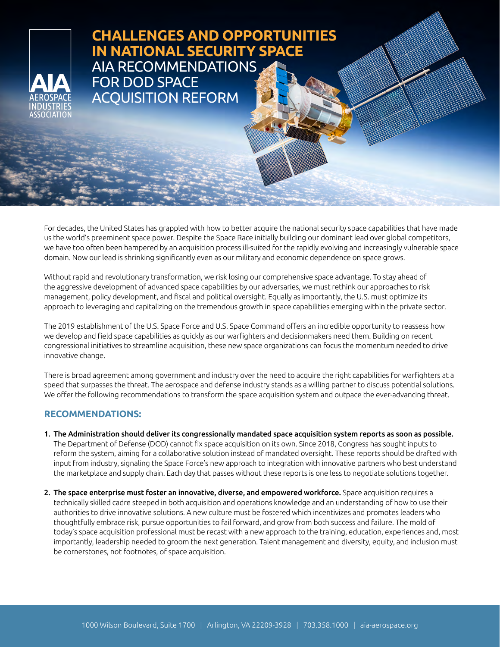## **CHALLENGES AND OPPORTUNITIES IN NATIONAL SECURITY SPACE** AIA RECOMMENDATIONS FOR DOD SPACE ACQUISITION REFORM

For decades, the United States has grappled with how to better acquire the national security space capabilities that have made us the world's preeminent space power. Despite the Space Race initially building our dominant lead over global competitors, we have too often been hampered by an acquisition process ill-suited for the rapidly evolving and increasingly vulnerable space domain. Now our lead is shrinking significantly even as our military and economic dependence on space grows.

Without rapid and revolutionary transformation, we risk losing our comprehensive space advantage. To stay ahead of the aggressive development of advanced space capabilities by our adversaries, we must rethink our approaches to risk management, policy development, and fiscal and political oversight. Equally as importantly, the U.S. must optimize its approach to leveraging and capitalizing on the tremendous growth in space capabilities emerging within the private sector.

The 2019 establishment of the U.S. Space Force and U.S. Space Command offers an incredible opportunity to reassess how we develop and field space capabilities as quickly as our warfighters and decisionmakers need them. Building on recent congressional initiatives to streamline acquisition, these new space organizations can focus the momentum needed to drive innovative change.

There is broad agreement among government and industry over the need to acquire the right capabilities for warfighters at a speed that surpasses the threat. The aerospace and defense industry stands as a willing partner to discuss potential solutions. We offer the following recommendations to transform the space acquisition system and outpace the ever-advancing threat.

## **RECOMMENDATIONS:**

- 1. The Administration should deliver its congressionally mandated space acquisition system reports as soon as possible. The Department of Defense (DOD) cannot fix space acquisition on its own. Since 2018, Congress has sought inputs to reform the system, aiming for a collaborative solution instead of mandated oversight. These reports should be drafted with input from industry, signaling the Space Force's new approach to integration with innovative partners who best understand the marketplace and supply chain. Each day that passes without these reports is one less to negotiate solutions together.
- 2. The space enterprise must foster an innovative, diverse, and empowered workforce. Space acquisition requires a technically skilled cadre steeped in both acquisition and operations knowledge and an understanding of how to use their authorities to drive innovative solutions. A new culture must be fostered which incentivizes and promotes leaders who thoughtfully embrace risk, pursue opportunities to fail forward, and grow from both success and failure. The mold of today's space acquisition professional must be recast with a new approach to the training, education, experiences and, most importantly, leadership needed to groom the next generation. Talent management and diversity, equity, and inclusion must be cornerstones, not footnotes, of space acquisition.